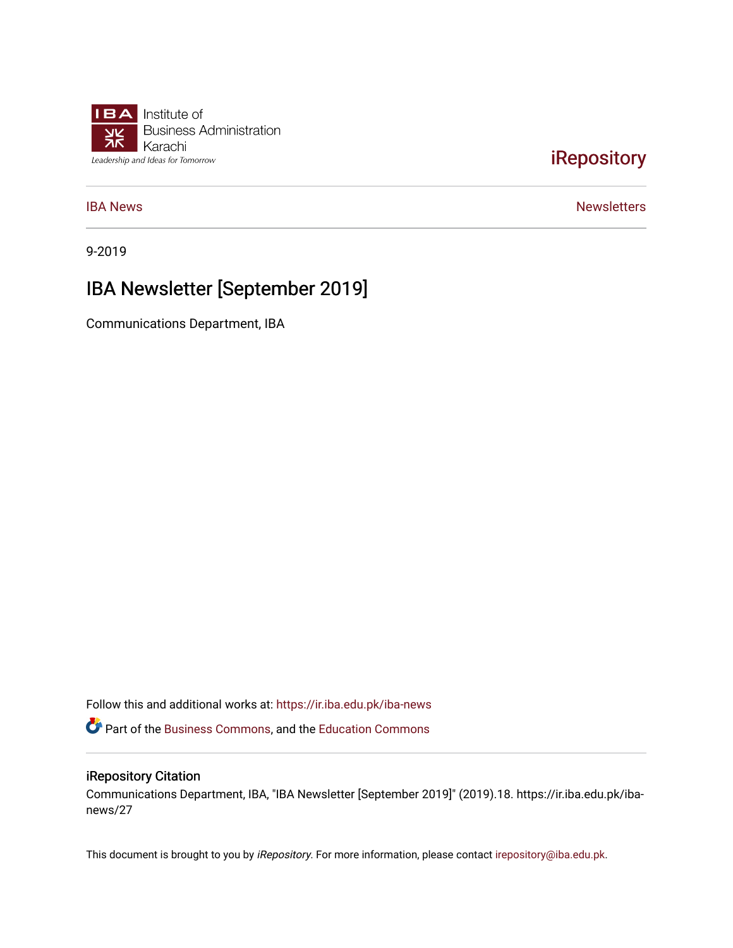

## [iRepository](https://ir.iba.edu.pk/)

**[IBA News](https://ir.iba.edu.pk/iba-news)** [Newsletters](https://ir.iba.edu.pk/newsletters) **IBA Newsletters** 

9-2019

# IBA Newsletter [September 2019]

Communications Department, IBA

Follow this and additional works at: [https://ir.iba.edu.pk/iba-news](https://ir.iba.edu.pk/iba-news?utm_source=ir.iba.edu.pk%2Fiba-news%2F27&utm_medium=PDF&utm_campaign=PDFCoverPages) 

Part of the [Business Commons](http://network.bepress.com/hgg/discipline/622?utm_source=ir.iba.edu.pk%2Fiba-news%2F27&utm_medium=PDF&utm_campaign=PDFCoverPages), and the [Education Commons](http://network.bepress.com/hgg/discipline/784?utm_source=ir.iba.edu.pk%2Fiba-news%2F27&utm_medium=PDF&utm_campaign=PDFCoverPages)

#### iRepository Citation

Communications Department, IBA, "IBA Newsletter [September 2019]" (2019).18. https://ir.iba.edu.pk/ibanews/27

This document is brought to you by iRepository. For more information, please contact [irepository@iba.edu.pk](mailto:irepository@iba.edu.pk).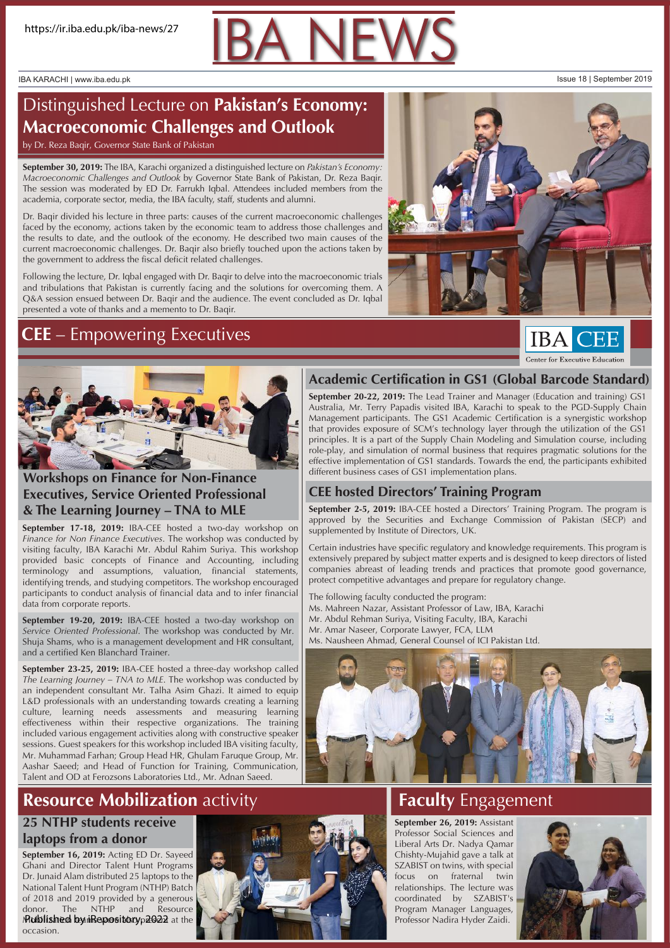IBA KARACHI | www.iba.edu.pk Issue 18 | September 2019

# Distinguished Lecture on **Pakistan's Economy: Macroeconomic Challenges and Outlook**

by Dr. Reza Baqir, Governor State Bank of Pakistan

**September 30, 2019:** The IBA, Karachi organized a distinguished lecture on *Pakistan's Economy: Macroeconomic Challenges and Outlook* by Governor State Bank of Pakistan, Dr. Reza Baqir. The session was moderated by ED Dr. Farrukh Iqbal. Attendees included members from the academia, corporate sector, media, the IBA faculty, staff, students and alumni.

Dr. Baqir divided his lecture in three parts: causes of the current macroeconomic challenges faced by the economy, actions taken by the economic team to address those challenges and the results to date, and the outlook of the economy. He described two main causes of the current macroeconomic challenges. Dr. Baqir also briefly touched upon the actions taken by the government to address the fiscal deficit related challenges.

Following the lecture, Dr. Iqbal engaged with Dr. Baqir to delve into the macroeconomic trials and tribulations that Pakistan is currently facing and the solutions for overcoming them. A Q&A session ensued between Dr. Baqir and the audience. The event concluded as Dr. Iqbal presented a vote of thanks and a memento to Dr. Baqir.

## **CEE** – Empowering Executives



**IBA CEE** Center for Executive Education



## **Workshops on Finance for Non-Finance Executives, Service Oriented Professional & The Learning Journey – TNA to MLE**

**September 17-18, 2019:** IBA-CEE hosted a two-day workshop on *Finance for Non Finance Executives*. The workshop was conducted by visiting faculty, IBA Karachi Mr. Abdul Rahim Suriya. This workshop provided basic concepts of Finance and Accounting, including terminology and assumptions, valuation, financial statements, identifying trends, and studying competitors. The workshop encouraged participants to conduct analysis of financial data and to infer financial data from corporate reports.

**September 19-20, 2019:** IBA-CEE hosted a two-day workshop on *Service Oriented Professional*. The workshop was conducted by Mr. Shuja Shams, who is a management development and HR consultant, and a certified Ken Blanchard Trainer.

**September 23-25, 2019:** IBA-CEE hosted a three-day workshop called *The Learning Journey – TNA to MLE*. The workshop was conducted by an independent consultant Mr. Talha Asim Ghazi. It aimed to equip L&D professionals with an understanding towards creating a learning culture, learning needs assessments and measuring learning effectiveness within their respective organizations. The training included various engagement activities along with constructive speaker sessions. Guest speakers for this workshop included IBA visiting faculty, Mr. Muhammad Farhan; Group Head HR, Ghulam Faruque Group, Mr. Aashar Saeed; and Head of Function for Training, Communication, Talent and OD at Ferozsons Laboratories Ltd., Mr. Adnan Saeed.

# **Resource Mobilization activity**

#### **25 NTHP students receive laptops from a donor**

September 16, 2019: Acting ED Dr. Sayeed Ghani and Director Talent Hunt Programs Dr. Junaid Alam distributed 25 laptops to the National Talent Hunt Program (NTHP) Batch of 2018 and 2019 provided by a generous donor. The NTHP and Resource Mublished by iRepositoryp2022 at the occasion.



## **Academic Certification in GS1 (Global Barcode Standard)**

**September 20-22, 2019:** The Lead Trainer and Manager (Education and training) GS1 Australia, Mr. Terry Papadis visited IBA, Karachi to speak to the PGD-Supply Chain Management participants. The GS1 Academic Certification is a synergistic workshop that provides exposure of SCM's technology layer through the utilization of the GS1 principles. It is a part of the Supply Chain Modeling and Simulation course, including role-play, and simulation of normal business that requires pragmatic solutions for the effective implementation of GS1 standards. Towards the end, the participants exhibited different business cases of GS1 implementation plans.

## **CEE hosted Directors' Training Program**

**September 2-5, 2019:** IBA-CEE hosted a Directors' Training Program. The program is approved by the Securities and Exchange Commission of Pakistan (SECP) and supplemented by Institute of Directors, UK.

Certain industries have specific regulatory and knowledge requirements. This program is extensively prepared by subject matter experts and is designed to keep directors of listed companies abreast of leading trends and practices that promote good governance, protect competitive advantages and prepare for regulatory change.

The following faculty conducted the program: Ms. Mahreen Nazar, Assistant Professor of Law, IBA, Karachi Mr. Abdul Rehman Suriya, Visiting Faculty, IBA, Karachi Mr. Amar Naseer, Corporate Lawyer, FCA, LLM Ms. Nausheen Ahmad, General Counsel of ICI Pakistan Ltd.



# **Faculty** Engagement

**September 26, 2019:** Assistant Professor Social Sciences and Liberal Arts Dr. Nadya Qamar Chishty-Mujahid gave a talk at SZABIST on twins, with special focus on fraternal twin relationships. The lecture was coordinated by SZABIST's Program Manager Languages, Professor Nadira Hyder Zaidi.

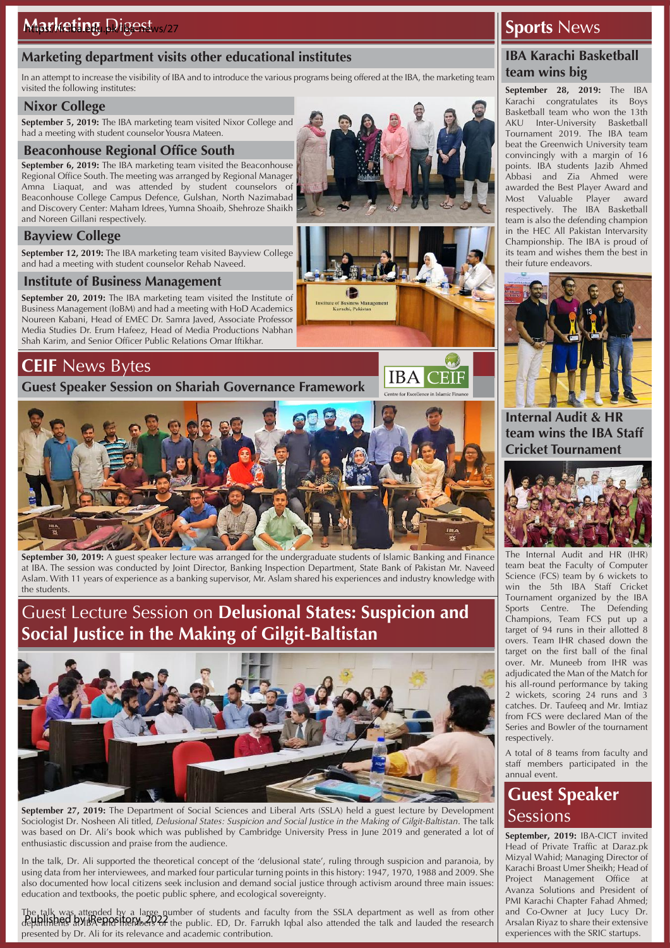## **Marketing department visits other educational institutes**

In an attempt to increase the visibility of IBA and to introduce the various programs being offered at the IBA, the marketing team visited the following institutes:

## **Nixor College**

**September 5, 2019:** The IBA marketing team visited Nixor College and had a meeting with student counselor Yousra Mateen.

### **Beaconhouse Regional Office South**

**September 6, 2019:** The IBA marketing team visited the Beaconhouse Regional Office South. The meeting was arranged by Regional Manager Amna Liaquat, and was attended by student counselors of Beaconhouse College Campus Defence, Gulshan, North Nazimabad and Discovery Center: Maham Idrees, Yumna Shoaib, Shehroze Shaikh and Noreen Gillani respectively.

## **Bayview College**

**September 12, 2019:** The IBA marketing team visited Bayview College and had a meeting with student counselor Rehab Naveed.

## **Institute of Business Management**

**September 20, 2019:** The IBA marketing team visited the Institute of Business Management (IoBM) and had a meeting with HoD Academics Noureen Kabani, Head of EMEC Dr. Samra Javed, Associate Professor Media Studies Dr. Erum Hafeez, Head of Media Productions Nabhan Shah Karim, and Senior Officer Public Relations Omar Iftikhar.

## **CEIF** News Bytes

**Guest Speaker Session on Shariah Governance Framework**



**September 30, 2019:** A guest speaker lecture was arranged for the undergraduate students of Islamic Banking and Finance at IBA. The session was conducted by Joint Director, Banking Inspection Department, State Bank of Pakistan Mr. Naveed Aslam. With 11 years of experience as a banking supervisor, Mr. Aslam shared his experiences and industry knowledge with the students.

## Guest Lecture Session on **Delusional States: Suspicion and Social Justice in the Making of Gilgit-Baltistan**



**September 27, 2019:** The Department of Social Sciences and Liberal Arts (SSLA) held a guest lecture by Development Sociologist Dr. Nosheen Ali titled, *Delusional States: Suspicion and Social Justice in the Making of Gilgit-Baltistan*. The talk was based on Dr. Ali's book which was published by Cambridge University Press in June 2019 and generated a lot of enthusiastic discussion and praise from the audience.

In the talk, Dr. Ali supported the theoretical concept of the 'delusional state', ruling through suspicion and paranoia, by using data from her interviewees, and marked four particular turning points in this history: 1947, 1970, 1988 and 2009. She also documented how local citizens seek inclusion and demand social justice through activism around three main issues: education and textbooks, the poetic public sphere, and ecological sovereignty.

The talk was attended by a large number of students and faculty from the SSLA department as well as from other department as non-tagged by iReposition of the public. ED, Dr. Farrukh Iqbal also attended the talk and lauded the research presented by Dr. Ali for its relevance and academic contribution.

## **Sports** News

## **IBA Karachi Basketball team wins big**

**September 28, 2019:** The IBA Karachi congratulates its Boys Basketball team who won the 13th AKU Inter-University Basketball Tournament 2019. The IBA team beat the Greenwich University team convincingly with a margin of 16 points. IBA students Jazib Ahmed Abbasi and Zia Ahmed were awarded the Best Player Award and Most Valuable Player award respectively. The IBA Basketball team is also the defending champion in the HEC All Pakistan Intervarsity Championship. The IBA is proud of its team and wishes them the best in their future endeavors.



**Internal Audit & HR team wins the IBA Staff Cricket Tournament**



The Internal Audit and HR (IHR) team beat the Faculty of Computer Science (FCS) team by 6 wickets to win the 5th IBA Staff Cricket Tournament organized by the IBA Sports Centre. The Defending Champions, Team FCS put up a target of 94 runs in their allotted 8 overs. Team IHR chased down the target on the first ball of the final over. Mr. Muneeb from IHR was adjudicated the Man of the Match for his all-round performance by taking 2 wickets, scoring 24 runs and 3 catches. Dr. Taufeeq and Mr. Imtiaz from FCS were declared Man of the Series and Bowler of the tournament respectively.

A total of 8 teams from faculty and staff members participated in the annual event.

# **Guest Speaker Sessions**

**September, 2019:** IBA-CICT invited Head of Private Traffic at Daraz.pk Mizyal Wahid; Managing Director of Karachi Broast Umer Sheikh; Head of Project Management Office at Avanza Solutions and President of PMI Karachi Chapter Fahad Ahmed; and Co-Owner at Jucy Lucy Dr. Arsalan Riyaz to share their extensive experiences with the SRIC startups.



**IBA CEIF**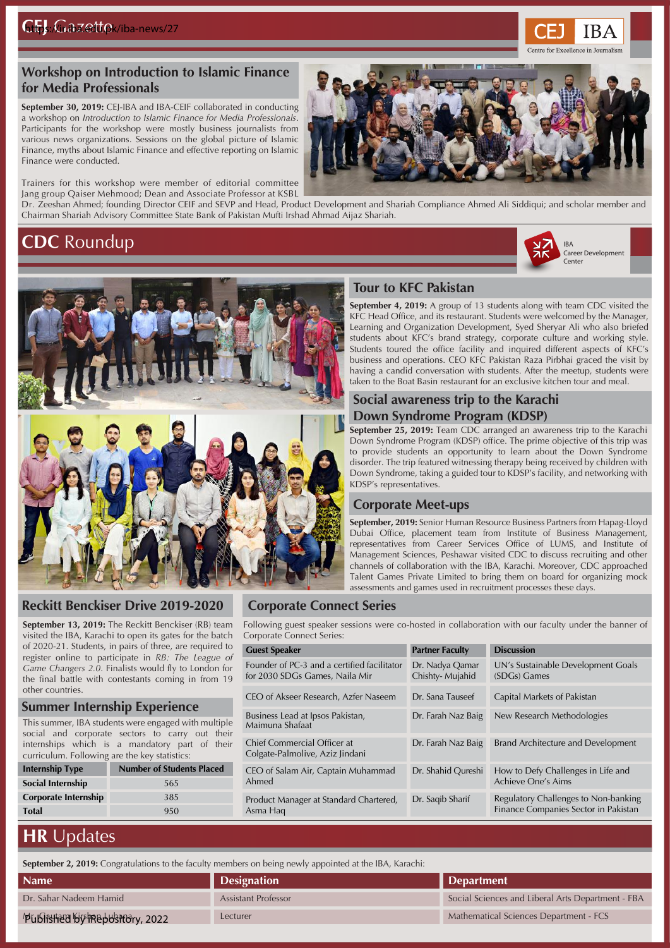

September 30, 2019: CEJ-IBA and IBA-CEIF collaborated in conducting a workshop on *Introduction to Islamic Finance for Media Professionals*. Participants for the workshop were mostly business journalists from various news organizations. Sessions on the global picture of Islamic Finance, myths about Islamic Finance and effective reporting on Islamic Finance were conducted.

Trainers for this workshop were member of editorial committee Jang group Qaiser Mehmood; Dean and Associate Professor at KSBL

## **CDC** Roundup





**IBA** 

ntre for Excellence in Journalist



#### **Reckitt Benckiser Drive 2019-2020**

**September 13, 2019:** The Reckitt Benckiser (RB) team visited the IBA, Karachi to open its gates for the batch of 2020-21. Students, in pairs of three, are required to register online to participate in *RB: The League of Game Changers 2.0*. Finalists would fly to London for the final battle with contestants coming in from 19 other countries.

#### **Summer Internship Experience**

This summer, IBA students were engaged with multiple social and corporate sectors to carry out their internships which is a mandatory part of their curriculum. Following are the key statistics:

| <b>Internship Type</b> | <b>Number of Students Placed</b> |  |  |  |
|------------------------|----------------------------------|--|--|--|
| Social Internship      | 565                              |  |  |  |
| Corporate Internship   | 385                              |  |  |  |
| <b>Total</b>           | 950                              |  |  |  |

#### **Corporate Connect Series**

Following guest speaker sessions were co-hosted in collaboration with our faculty under the banner of Corporate Connect Series:

| <b>Guest Speaker</b>                                                          | <b>Partner Faculty</b>             | <b>Discussion</b>                                                            |  |
|-------------------------------------------------------------------------------|------------------------------------|------------------------------------------------------------------------------|--|
| Founder of PC-3 and a certified facilitator<br>for 2030 SDGs Games, Naila Mir | Dr. Nadya Qamar<br>Chishty-Mujahid | UN's Sustainable Development Goals<br>(SDGs) Games                           |  |
| CEO of Akseer Research, Azfer Naseem                                          | Dr. Sana Tauseef                   | Capital Markets of Pakistan                                                  |  |
| Business Lead at Ipsos Pakistan,<br>Maimuna Shafaat                           | Dr. Farah Naz Baig                 | New Research Methodologies                                                   |  |
| Chief Commercial Officer at<br>Colgate-Palmolive, Aziz Jindani                | Dr. Farah Naz Baig                 | Brand Architecture and Development                                           |  |
| CEO of Salam Air, Captain Muhammad<br>Ahmed                                   | Dr. Shahid Qureshi                 | How to Defy Challenges in Life and<br>Achieve One's Aims                     |  |
| Product Manager at Standard Chartered,<br>Asma Hag                            | Dr. Sagib Sharif                   | Regulatory Challenges to Non-banking<br>Finance Companies Sector in Pakistan |  |

# **HR** Updates

**September 2, 2019:** Congratulations to the faculty members on being newly appointed at the IBA, Karachi:

| <b>Name</b>                   | <b>Designation</b>         | Department                                        |
|-------------------------------|----------------------------|---------------------------------------------------|
| Dr. Sahar Nadeem Hamid        | <b>Assistant Professor</b> | Social Sciences and Liberal Arts Department - FBA |
| Published by Repository, 2022 | Lecturer                   | Mathematical Sciences Department - FCS            |



**September 4, 2019:** A group of 13 students along with team CDC visited the KFC Head Office, and its restaurant. Students were welcomed by the Manager, **Tour to KFC Pakistan**

Learning and Organization Development, Syed Sheryar Ali who also briefed students about KFC's brand strategy, corporate culture and working style. Students toured the office facility and inquired different aspects of KFC's business and operations. CEO KFC Pakistan Raza Pirbhai graced the visit by having a candid conversation with students. After the meetup, students were taken to the Boat Basin restaurant for an exclusive kitchen tour and meal.

## **Social awareness trip to the Karachi Down Syndrome Program (KDSP)**

**September 25, 2019:** Team CDC arranged an awareness trip to the Karachi Down Syndrome Program (KDSP) office. The prime objective of this trip was to provide students an opportunity to learn about the Down Syndrome disorder. The trip featured witnessing therapy being received by children with Down Syndrome, taking a guided tour to KDSP's facility, and networking with KDSP's representatives.

#### **Corporate Meet-ups**

**September, 2019:** Senior Human Resource Business Partners from Hapag-Lloyd Dubai Office, placement team from Institute of Business Management, representatives from Career Services Office of LUMS, and Institute of Management Sciences, Peshawar visited CDC to discuss recruiting and other channels of collaboration with the IBA, Karachi. Moreover, CDC approached Talent Games Private Limited to bring them on board for organizing mock assessments and games used in recruitment processes these days.